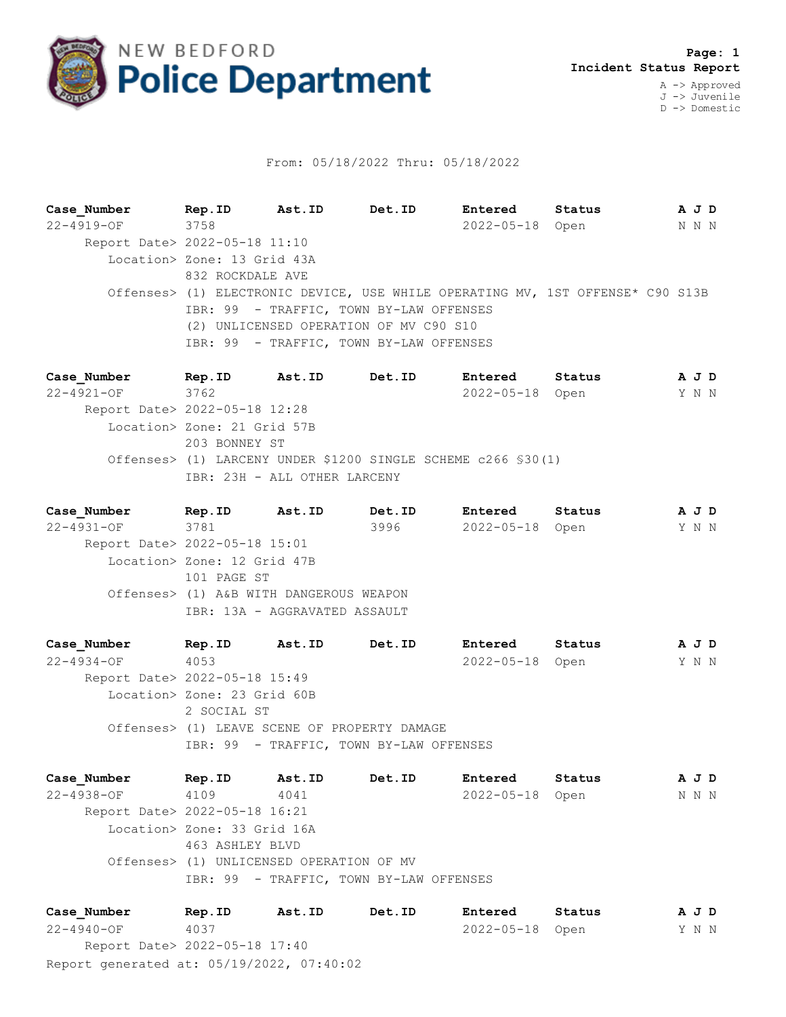

## From: 05/18/2022 Thru: 05/18/2022

**Case\_Number Rep.ID Ast.ID Det.ID Entered Status A J D** 22-4919-OF 3758 2022-05-18 Open N N N Report Date> 2022-05-18 11:10 Location> Zone: 13 Grid 43A 832 ROCKDALE AVE Offenses> (1) ELECTRONIC DEVICE, USE WHILE OPERATING MV, 1ST OFFENSE\* C90 S13B IBR: 99 - TRAFFIC, TOWN BY-LAW OFFENSES (2) UNLICENSED OPERATION OF MV C90 S10 IBR: 99 - TRAFFIC, TOWN BY-LAW OFFENSES

**Case\_Number Rep.ID Ast.ID Det.ID Entered Status A J D** 22-4921-OF 3762 2022-05-18 Open Y N N Report Date> 2022-05-18 12:28 Location> Zone: 21 Grid 57B 203 BONNEY ST Offenses> (1) LARCENY UNDER \$1200 SINGLE SCHEME c266 §30(1) IBR: 23H - ALL OTHER LARCENY

**Case\_Number Rep.ID Ast.ID Det.ID Entered Status A J D** 22-4931-OF 3781 3996 2022-05-18 Open Y N N Report Date> 2022-05-18 15:01 Location> Zone: 12 Grid 47B 101 PAGE ST Offenses> (1) A&B WITH DANGEROUS WEAPON IBR: 13A - AGGRAVATED ASSAULT

**Case\_Number Rep.ID Ast.ID Det.ID Entered Status A J D** 22-4934-OF 4053 2022-05-18 Open Y N N Report Date> 2022-05-18 15:49 Location> Zone: 23 Grid 60B 2 SOCIAL ST Offenses> (1) LEAVE SCENE OF PROPERTY DAMAGE IBR: 99 - TRAFFIC, TOWN BY-LAW OFFENSES

**Case\_Number Rep.ID Ast.ID Det.ID Entered Status A J D** 22-4938-OF 4109 4041 2022-05-18 Open N N N Report Date> 2022-05-18 16:21 Location> Zone: 33 Grid 16A 463 ASHLEY BLVD Offenses> (1) UNLICENSED OPERATION OF MV IBR: 99 - TRAFFIC, TOWN BY-LAW OFFENSES

Report generated at: 05/19/2022, 07:40:02 **Case\_Number Rep.ID Ast.ID Det.ID Entered Status A J D** 22-4940-OF 4037 2022-05-18 Open Y N N Report Date> 2022-05-18 17:40